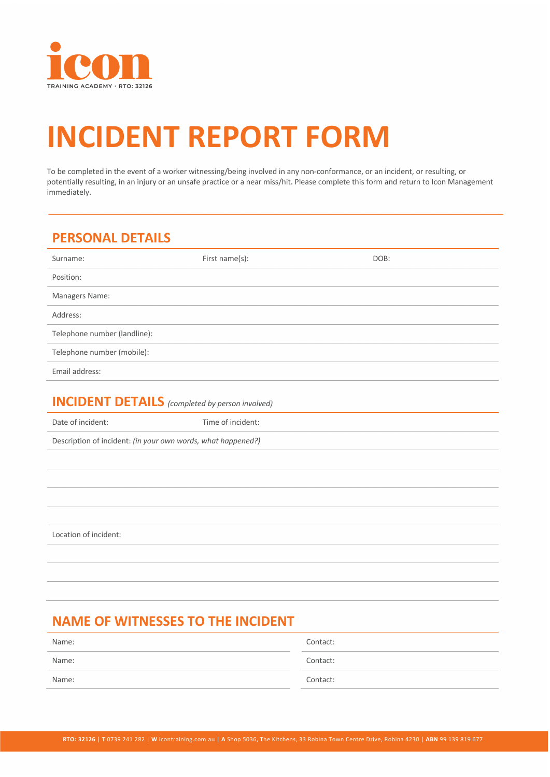

# **INCIDENT REPORT FORM**

To be completed in the event of a worker witnessing/being involved in any non-conformance, or an incident, or resulting, or potentially resulting, in an injury or an unsafe practice or a near miss/hit. Please complete this form and return to Icon Management immediately.

## **PERSONAL DETAILS**

| Surname:                     | First name(s): | DOB: |
|------------------------------|----------------|------|
| Position:                    |                |      |
| Managers Name:               |                |      |
| Address:                     |                |      |
| Telephone number (landline): |                |      |
| Telephone number (mobile):   |                |      |
| Email address:               |                |      |

#### **INCIDENT DETAILS** *(completed by person involved)*

Date of incident: Time of incident:

Description of incident: *(in your own words, what happened?)*

Location of incident:

# **NAME OF WITNESSES TO THE INCIDENT**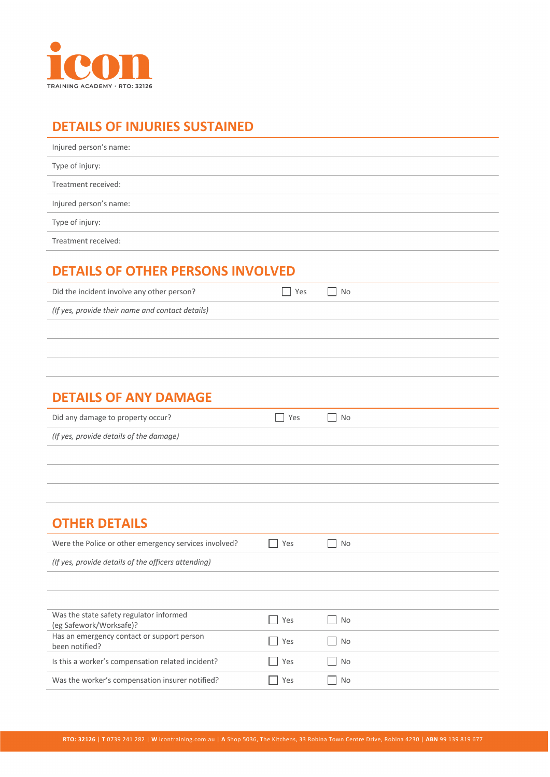

## **DETAILS OF INJURIES SUSTAINED**

| Injured person's name: |
|------------------------|
| Type of injury:        |
| Treatment received:    |
| Injured person's name: |
| Type of injury:        |
| Treatment received:    |

# **DETAILS OF OTHER PERSONS INVOLVED**

| Did the incident involve any other person?       | , l Yes | No |
|--------------------------------------------------|---------|----|
| (If yes, provide their name and contact details) |         |    |
|                                                  |         |    |

#### **DETAILS OF ANY DAMAGE**

| Did any damage to property occur?       | l Yes | $\overline{\phantom{a}}$ No |
|-----------------------------------------|-------|-----------------------------|
| (If yes, provide details of the damage) |       |                             |

# **OTHER DETAILS**

| Were the Police or other emergency services involved?              | Yes | No  |
|--------------------------------------------------------------------|-----|-----|
| (If yes, provide details of the officers attending)                |     |     |
|                                                                    |     |     |
|                                                                    |     |     |
| Was the state safety regulator informed<br>(eg Safework/Worksafe)? | Yes | No  |
| Has an emergency contact or support person<br>been notified?       | Yes | No  |
| Is this a worker's compensation related incident?                  | Yes | No  |
| Was the worker's compensation insurer notified?                    | Yes | No. |